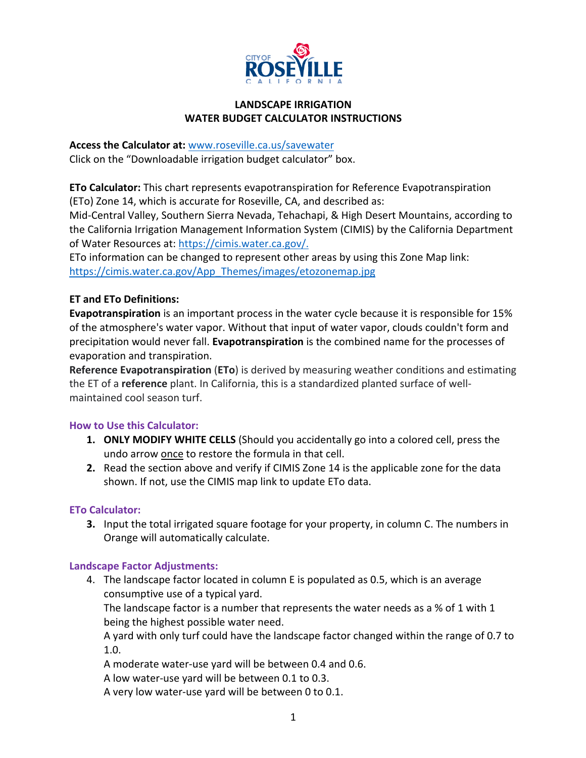

#### **LANDSCAPE IRRIGATION WATER BUDGET CALCULATOR INSTRUCTIONS**

#### **Access the Calculator at:** www.roseville.ca.us/savewater

Click on the "Downloadable irrigation budget calculator" box.

**ETo Calculator:** This chart represents evapotranspiration for Reference Evapotranspiration (ETo) Zone 14, which is accurate for Roseville, CA, and described as:

Mid-Central Valley, Southern Sierra Nevada, Tehachapi, & High Desert Mountains, according to the California Irrigation Management Information System (CIMIS) by the California Department of Water Resources at: https://cimis.water.ca.gov/.

ETo information can be changed to represent other areas by using this Zone Map link: https://cimis.water.ca.gov/App\_Themes/images/etozonemap.jpg

# **ET and ETo Definitions:**

**Evapotranspiration** is an important process in the water cycle because it is responsible for 15% of the atmosphere's water vapor. Without that input of water vapor, clouds couldn't form and precipitation would never fall. **Evapotranspiration** is the combined name for the processes of evaporation and transpiration.

**Reference Evapotranspiration** (**ETo**) is derived by measuring weather conditions and estimating the ET of a **reference** plant. In California, this is a standardized planted surface of wellmaintained cool season turf.

#### **How to Use this Calculator:**

- **1. ONLY MODIFY WHITE CELLS** (Should you accidentally go into a colored cell, press the undo arrow once to restore the formula in that cell.
- **2.** Read the section above and verify if CIMIS Zone 14 is the applicable zone for the data shown. If not, use the CIMIS map link to update ETo data.

#### **ETo Calculator:**

**3.** Input the total irrigated square footage for your property, in column C. The numbers in Orange will automatically calculate.

#### **Landscape Factor Adjustments:**

4. The landscape factor located in column E is populated as 0.5, which is an average consumptive use of a typical yard.

The landscape factor is a number that represents the water needs as a % of 1 with 1 being the highest possible water need.

A yard with only turf could have the landscape factor changed within the range of 0.7 to 1.0.

A moderate water-use yard will be between 0.4 and 0.6.

A low water-use yard will be between 0.1 to 0.3.

A very low water-use yard will be between 0 to 0.1.